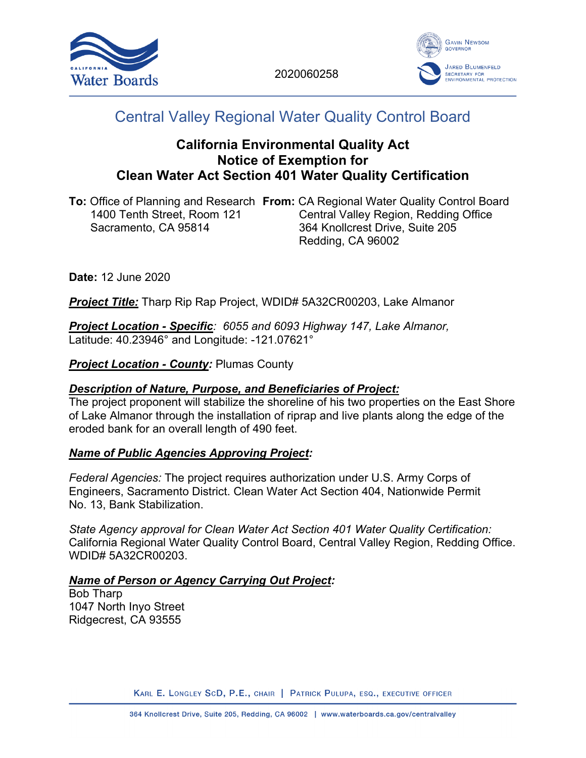



# Central Valley Regional Water Quality Control Board

# **California Environmental Quality Act Notice of Exemption for Clean Water Act Section 401 Water Quality Certification**

**To:** Office of Planning and Research **From:** CA Regional Water Quality Control Board Central Valley Region, Redding Office Sacramento, CA 95814 364 Knollcrest Drive, Suite 205 Redding, CA 96002

**Date:** 12 June 2020

*Project Title:* Tharp Rip Rap Project, WDID# 5A32CR00203, Lake Almanor

*Project Location - Specific: 6055 and 6093 Highway 147, Lake Almanor,* Latitude: 40.23946° and Longitude: -121.07621°

**Project Location - County: Plumas County** 

#### *Description of Nature, Purpose, and Beneficiaries of Project:*

The project proponent will stabilize the shoreline of his two properties on the East Shore of Lake Almanor through the installation of riprap and live plants along the edge of the eroded bank for an overall length of 490 feet.

#### *Name of Public Agencies Approving Project:*

*Federal Agencies:* The project requires authorization under U.S. Army Corps of Engineers, Sacramento District. Clean Water Act Section 404, Nationwide Permit No. 13, Bank Stabilization.

*State Agency approval for Clean Water Act Section 401 Water Quality Certification:* California Regional Water Quality Control Board, Central Valley Region, Redding Office. WDID# 5A32CR00203.

#### *Name of Person or Agency Carrying Out Project:*

Bob Tharp 1047 North Inyo Street Ridgecrest, CA 93555